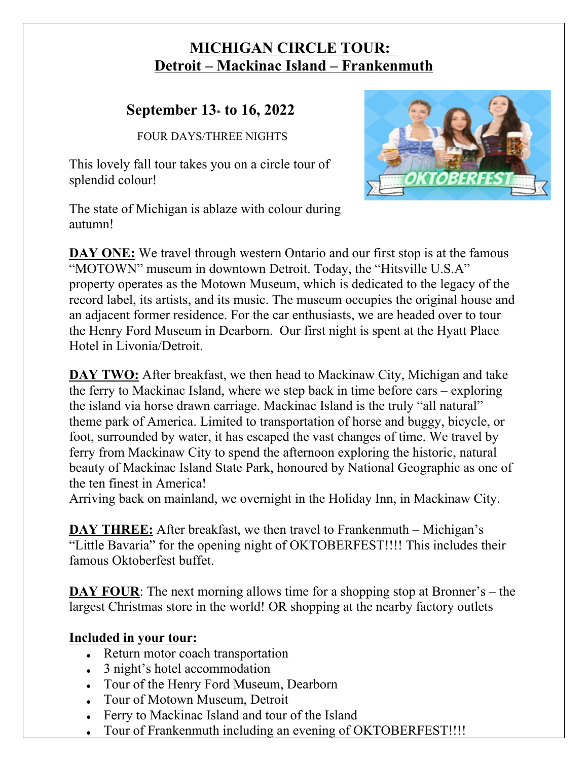## **MICHIGAN CIRCLE TOUR: Detroit – Mackinac Island – Frankenmuth**

## **September 13th to 16, 2022**

FOUR DAYS/THREE NIGHTS

This lovely fall tour takes you on a circle tour of splendid colour!

The state of Michigan is ablaze with colour during autumn!



**DAY ONE:** We travel through western Ontario and our first stop is at the famous "MOTOWN" museum in downtown Detroit. Today, the "Hitsville U.S.A" property operates as the Motown Museum, which is dedicated to the legacy of the record label, its artists, and its music. The museum occupies the original house and an adjacent former residence. For the car enthusiasts, we are headed over to tour the Henry Ford Museum in Dearborn. Our first night is spent at the Hyatt Place Hotel in Livonia/Detroit.

**DAY TWO:** After breakfast, we then head to Mackinaw City, Michigan and take the ferry to Mackinac Island, where we step back in time before cars – exploring the island via horse drawn carriage. Mackinac Island is the truly "all natural" theme park of America. Limited to transportation of horse and buggy, bicycle, or foot, surrounded by water, it has escaped the vast changes of time. We travel by ferry from Mackinaw City to spend the afternoon exploring the historic, natural beauty of Mackinac Island State Park, honoured by National Geographic as one of the ten finest in America!

Arriving back on mainland, we overnight in the Holiday Inn, in Mackinaw City.

**DAY THREE:** After breakfast, we then travel to Frankenmuth – Michigan's "Little Bavaria" for the opening night of OKTOBERFEST!!!! This includes their famous Oktoberfest buffet.

**DAY FOUR:** The next morning allows time for a shopping stop at Bronner's – the largest Christmas store in the world! OR shopping at the nearby factory outlets

## **Included in your tour:**

- Return motor coach transportation
- 3 night's hotel accommodation
- Tour of the Henry Ford Museum, Dearborn
- Tour of Motown Museum, Detroit
- Ferry to Mackinac Island and tour of the Island
- Tour of Frankenmuth including an evening of OKTOBERFEST!!!!